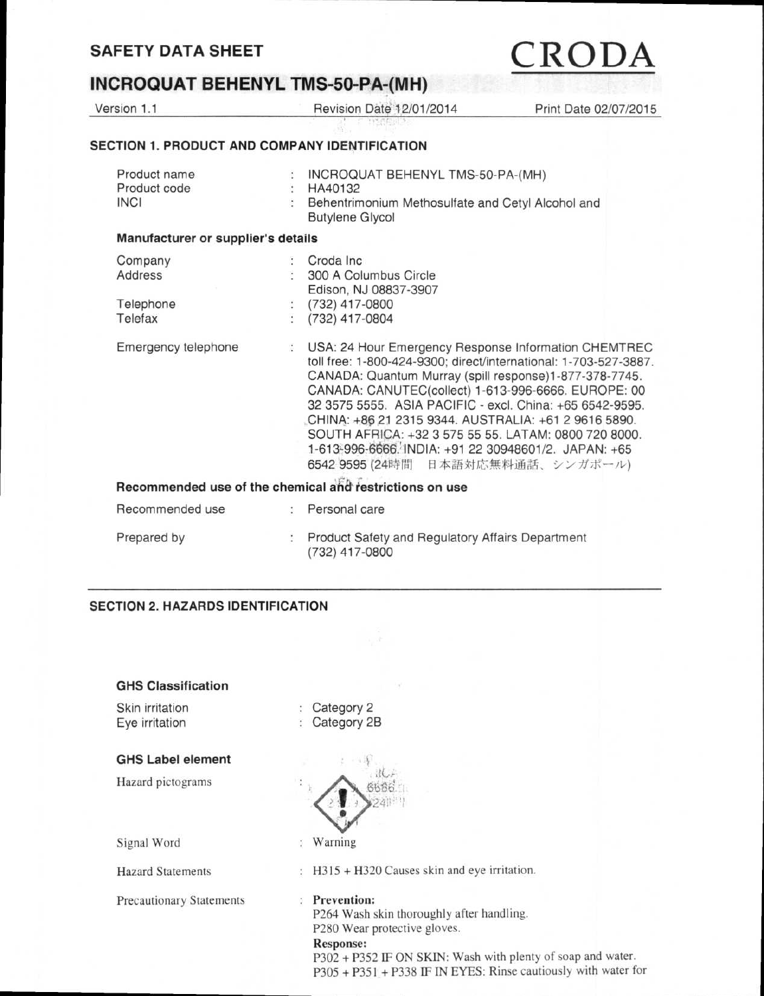### **INCROQUAT BEHENYL TMS-50-PA-(MH)**

Version 1.1 **Revision Date 12/01/2014** Print Date 02/07/2015

### **SECTION 1. PRODUCT AND COMPANY IDENTIFICATION**

| Product name<br>Product code<br><b>INCI</b> |                      | INCROQUAT BEHENYL TMS-50-PA-(MH)<br>HA40132<br>Behentrimonium Methosulfate and Cetyl Alcohol and<br><b>Butylene Glycol</b>                                                                                                                                                                                                                                                                                                                                                                                         |
|---------------------------------------------|----------------------|--------------------------------------------------------------------------------------------------------------------------------------------------------------------------------------------------------------------------------------------------------------------------------------------------------------------------------------------------------------------------------------------------------------------------------------------------------------------------------------------------------------------|
| Manufacturer or supplier's details          |                      |                                                                                                                                                                                                                                                                                                                                                                                                                                                                                                                    |
| Company                                     |                      | Croda Inc.                                                                                                                                                                                                                                                                                                                                                                                                                                                                                                         |
| Address                                     |                      | 300 A Columbus Circle                                                                                                                                                                                                                                                                                                                                                                                                                                                                                              |
|                                             |                      | Edison, NJ 08837-3907                                                                                                                                                                                                                                                                                                                                                                                                                                                                                              |
| Telephone                                   | $\ddot{\cdot}$       | (732) 417-0800                                                                                                                                                                                                                                                                                                                                                                                                                                                                                                     |
| Telefax                                     |                      | (732) 417-0804                                                                                                                                                                                                                                                                                                                                                                                                                                                                                                     |
| Emergency telephone                         | $\ddot{\cdot}$       | USA: 24 Hour Emergency Response Information CHEMTREC<br>toll free: 1-800-424-9300; direct/international: 1-703-527-3887.<br>CANADA: Quantum Murray (spill response)1-877-378-7745.<br>CANADA: CANUTEC(collect) 1-613-996-6666. EUROPE: 00<br>32 3575 5555. ASIA PACIFIC - excl. China: +65 6542-9595.<br>CHINA: +86 21 2315 9344. AUSTRALIA: +61 2 9616 5890.<br>SOUTH AFRICA: +32 3 575 55 55. LATAM: 0800 720 8000.<br>1-613-996-6666. INDIA: +91 22 30948601/2. JAPAN: +65<br>6542 9595 (24時間 日本語対応無料通話、シンガポール) |
|                                             |                      | Recommended use of the chemical and restrictions on use                                                                                                                                                                                                                                                                                                                                                                                                                                                            |
| Recommended use                             | $\ddot{\phantom{a}}$ | Personal care                                                                                                                                                                                                                                                                                                                                                                                                                                                                                                      |
| Prepared by                                 |                      | Product Safety and Regulatory Affairs Department<br>(732) 417-0800                                                                                                                                                                                                                                                                                                                                                                                                                                                 |

### **SECTION 2. HAZARDS IDENTIFICATION**

| <b>GHS Classification</b>         |                                                                                                                                                                                                                                                           |
|-----------------------------------|-----------------------------------------------------------------------------------------------------------------------------------------------------------------------------------------------------------------------------------------------------------|
| Skin irritation<br>Eye irritation | Category 2<br>Category 2B                                                                                                                                                                                                                                 |
| <b>GHS Label element</b>          |                                                                                                                                                                                                                                                           |
| Hazard pictograms                 |                                                                                                                                                                                                                                                           |
| Signal Word                       | Warning<br>÷                                                                                                                                                                                                                                              |
| <b>Hazard Statements</b>          | H315 + H320 Causes skin and eye irritation.                                                                                                                                                                                                               |
| <b>Precautionary Statements</b>   | <b>Prevention:</b><br>÷<br>P264 Wash skin thoroughly after handling.<br>P280 Wear protective gloves.<br><b>Response:</b><br>P302 + P352 IF ON SKIN: Wash with plenty of soap and water.<br>P305 + P351 + P338 IF IN EYES: Rinse cautiously with water for |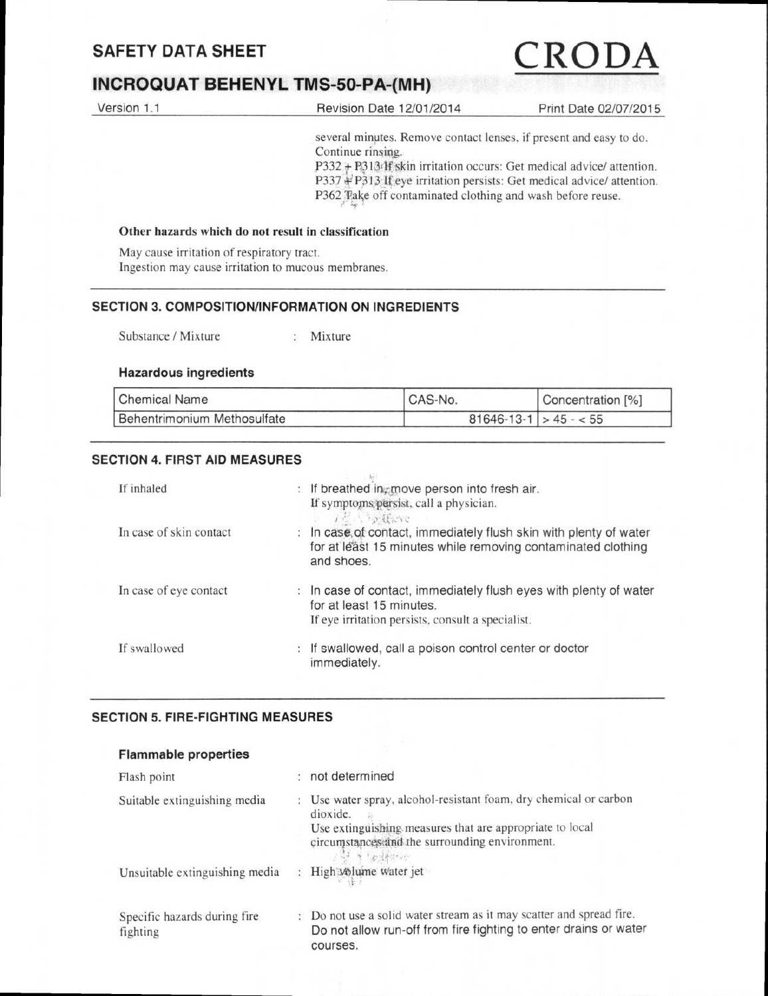### **INCROQUAT BEHENYL TMS-50-PA-(MH)**

| Version 1.1                                | Revision Date 12/01/2014                                                                                                                                                                                    | Print Date 02/07/2015 |
|--------------------------------------------|-------------------------------------------------------------------------------------------------------------------------------------------------------------------------------------------------------------|-----------------------|
|                                            | several minutes. Remove contact lenses, if present and easy to do.<br>Continue rinsing.                                                                                                                     |                       |
|                                            | P332 + P3134 Fskin irritation occurs: Get medical advice/attention.<br>P337 + P313 If eye irritation persists: Get medical advice/ attention.<br>P362 Take off contaminated clothing and wash before reuse. |                       |
|                                            | Other hazards which do not result in classification                                                                                                                                                         |                       |
| May cause irritation of respiratory tract. |                                                                                                                                                                                                             |                       |

## Ingestion may cause irritation to mucous membranes.

### **SECTION 3. COMPOSITION/INFORMATION ON INGREDIENTS**

Substance / Mixture : Mixture

### **Hazardous ingredients**

| <b>Chemical Name</b>        | CAS-No.                    | Concentration [%] |
|-----------------------------|----------------------------|-------------------|
| Behentrimonium Methosulfate | $81646 - 13 - 1 > 45 - 55$ |                   |

### **SECTION 4. FIRST AID MEASURES**

| In case of contact, immediately flush skin with plenty of water |
|-----------------------------------------------------------------|
| for at least 15 minutes while removing contaminated clothing    |
|                                                                 |
| In case of contact, immediately flush eyes with plenty of water |
|                                                                 |
|                                                                 |
|                                                                 |
|                                                                 |
|                                                                 |

### **SECTION 5. FIRE-FIGHTING MEASURES**

### **Flammable properties**

| Flash point                              | : not determined                                                                                                                                                                                        |
|------------------------------------------|---------------------------------------------------------------------------------------------------------------------------------------------------------------------------------------------------------|
| Suitable extinguishing media             | Use water spray, alcohol-resistant foam, dry chemical or carbon<br>dioxide.<br>Use extinguishing measures that are appropriate to local<br>circumstances and the surrounding environment.<br>Y Testerne |
| Unsuitable extinguishing media           | : High volume water jet                                                                                                                                                                                 |
| Specific hazards during fire<br>fighting | : Do not use a solid water stream as it may scatter and spread fire.<br>Do not allow run-off from fire fighting to enter drains or water<br>courses.                                                    |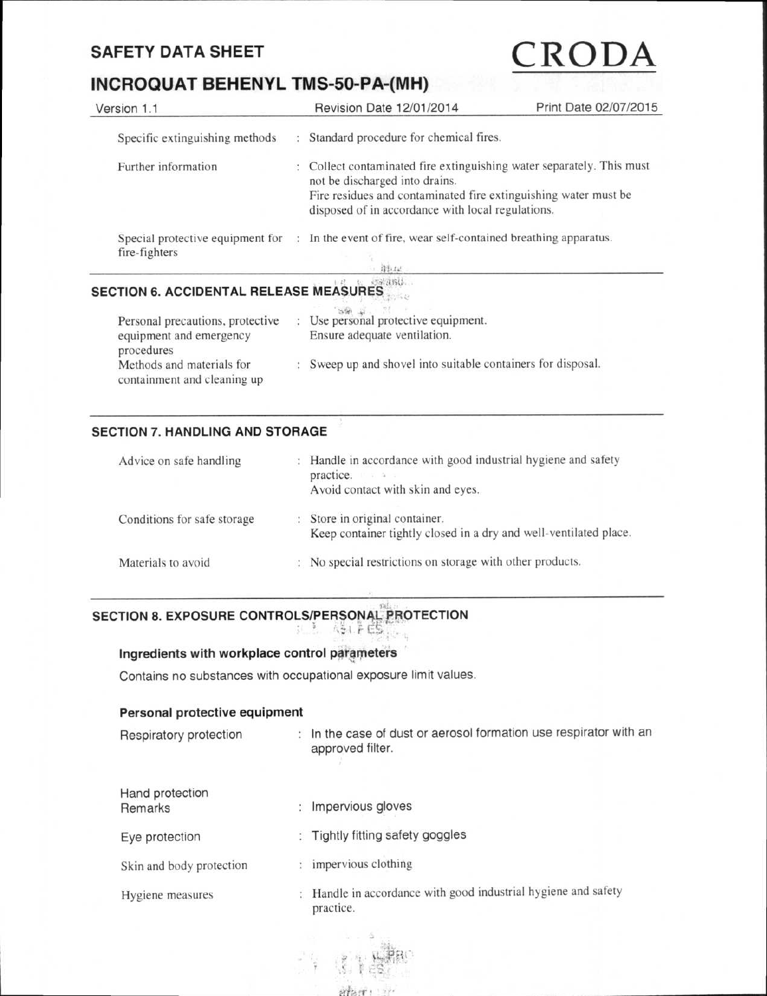### **INCROQUAT BEHENYL TMS-50-PA-(MH)**

| Version 1.1                                       |  | Revision Date 12/01/2014                                                                                                                                                                                                      | Print Date 02/07/2015 |
|---------------------------------------------------|--|-------------------------------------------------------------------------------------------------------------------------------------------------------------------------------------------------------------------------------|-----------------------|
| Specific extinguishing methods                    |  | Standard procedure for chemical fires.                                                                                                                                                                                        |                       |
| Further information                               |  | Collect contaminated fire extinguishing water separately. This must<br>not be discharged into drains.<br>Fire residues and contaminated fire extinguishing water must be<br>disposed of in accordance with local regulations. |                       |
| Special protective equipment for<br>fire-fighters |  | In the event of fire, wear self-contained breathing apparatus.<br>绿红山                                                                                                                                                         |                       |

### **ir,t1 SECTION 6. ACCIDENTAL RELEASE MEASURES**

| Personal precautions, protective<br>equipment and emergency            | Use personal protective equipment.<br>Ensure adequate ventilation. |  |
|------------------------------------------------------------------------|--------------------------------------------------------------------|--|
| procedures<br>Methods and materials for<br>containment and cleaning up | Sweep up and shovel into suitable containers for disposal.         |  |

### **SECTION 7. HANDLING AND STORAGE**

| Advice on safe handling     | К. | Handle in accordance with good industrial hygiene and safety<br>practice.<br>1.7247<br>Avoid contact with skin and eyes. |
|-----------------------------|----|--------------------------------------------------------------------------------------------------------------------------|
| Conditions for safe storage |    | : Store in original container.<br>Keep container tightly closed in a dry and well-ventilated place.                      |
| Materials to avoid          | 12 | No special restrictions on storage with other products.                                                                  |

### **SECTION 8. EXPOSURE CONTROLS/PERSONAL PROTECTION**  ASLEES.

**Ingredients with workplace control parameters** 

Contains no substances with occupational exposure limit values.

### **Personal protective equipment**

| Respiratory protection     | In the case of dust or aerosol formation use respirator with an<br>approved filter. |
|----------------------------|-------------------------------------------------------------------------------------|
| Hand protection<br>Remarks | Impervious gloves                                                                   |
| Eye protection             | Tightly fitting safety goggles                                                      |
| Skin and body protection   | impervious clothing                                                                 |
| Hygiene measures           | Handle in accordance with good industrial hygiene and safety<br>practice.           |
|                            |                                                                                     |

aram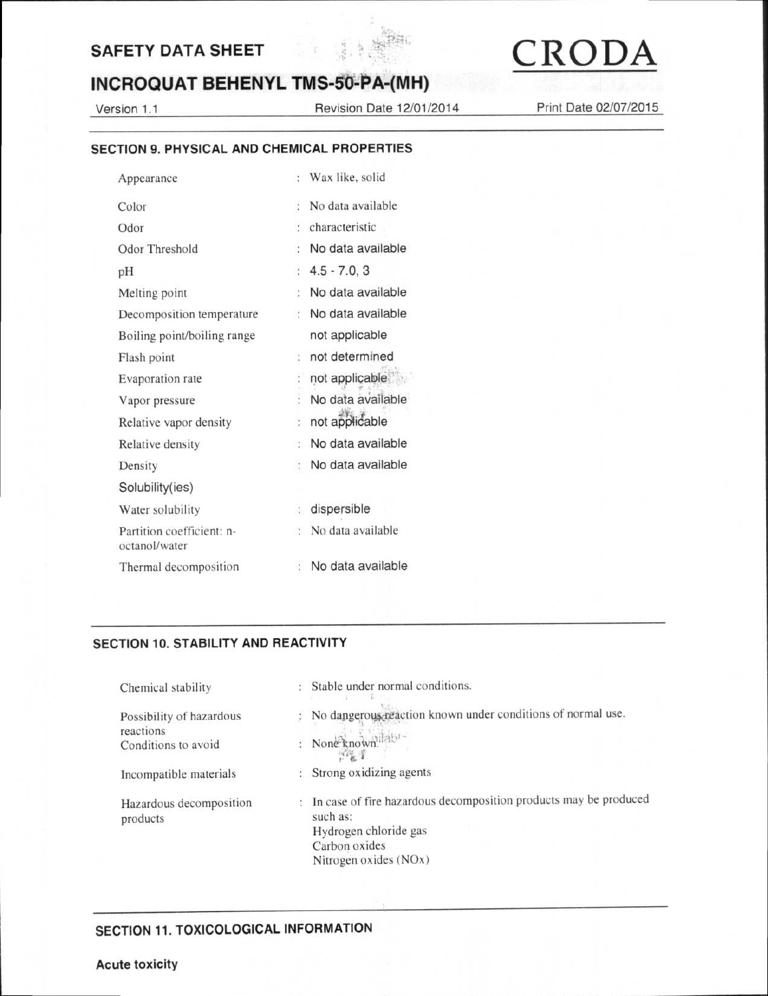

### **INCROQUAT BEHENYL TMS-50-PA-(MH)**

Version 1.1 Revision Date 12/01/2014 Print Date 02/07/2015

### **SECTION 9. PHYSICAL AND CHEMICAL PROPERTIES**

| Appearance                                 | Wax like, solid<br>$\ddot{\phantom{a}}$           |
|--------------------------------------------|---------------------------------------------------|
| Color                                      | No data available<br>Ñ,                           |
| Odor                                       | characteristic<br>÷.                              |
| Odor Threshold                             | No data available<br>÷,                           |
| pH                                         | $4.5 - 7.0, 3$<br>đ                               |
| Melting point                              | No data available<br>t                            |
| Decomposition temperature                  | No data available<br>$\mathcal{L}$                |
| Boiling point/boiling range                | not applicable                                    |
| Flash point                                | not determined<br>÷                               |
| Evaporation rate                           | not applicable                                    |
| Vapor pressure                             | No data available                                 |
| Relative vapor density                     | not applicable<br>÷                               |
| Relative density                           | No data available<br>$\ddot{\phantom{a}}$         |
| Density                                    | No data available<br>÷                            |
| Solubility(ies)                            |                                                   |
| Water solubility                           | dispersible<br>$\mathcal{V}^{\pi}_{\mathbf{a}}$ . |
| Partition coefficient: n-<br>octanol/water | : No data available                               |
| Thermal decomposition                      | No data available                                 |

### **SECTION 10. STABILITY AND REACTIVITY**

| Chemical stability                                           | : Stable under normal conditions.<br>Silver State Print                                                                                         |
|--------------------------------------------------------------|-------------------------------------------------------------------------------------------------------------------------------------------------|
| Possibility of hazardous<br>reactions<br>Conditions to avoid | : No dangerous reaction known under conditions of normal use.<br>: None known lab<br>梅草                                                         |
| Incompatible materials                                       | : Strong oxidizing agents                                                                                                                       |
| Hazardous decomposition<br>products                          | In case of fire hazardous decomposition products may be produced<br>such as:<br>Hydrogen chloride gas<br>Carbon oxides<br>Nitrogen oxides (NOx) |

### **SECTION 11. TOXICOLOGICAL INFORMATION**

### **Acute toxicity**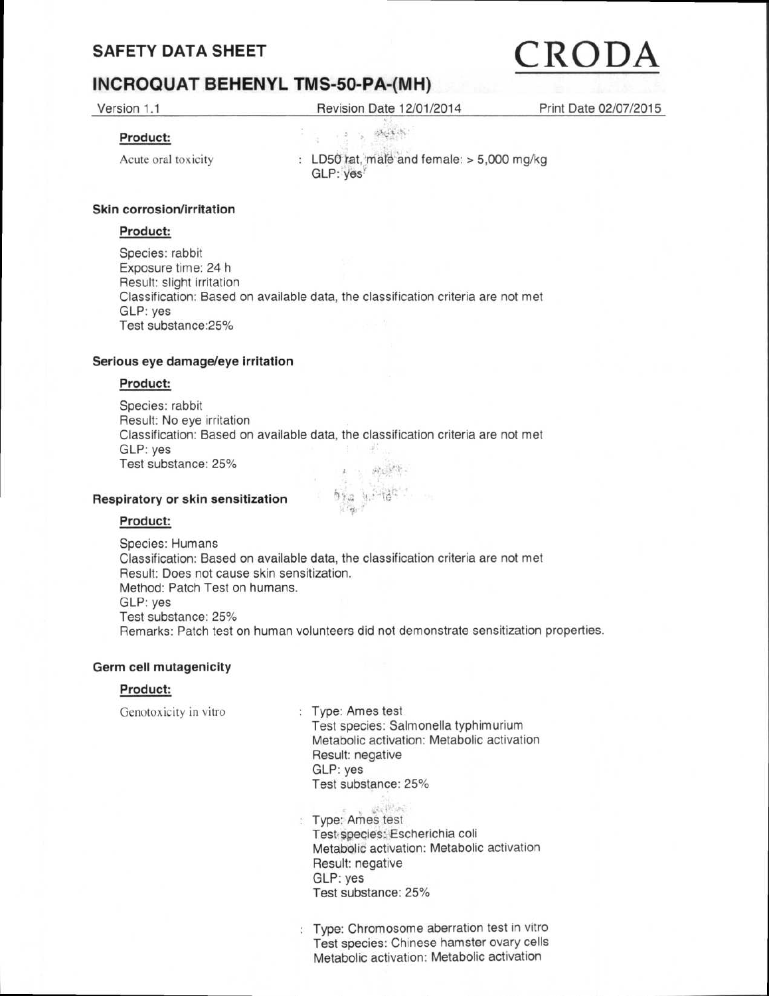# SAFETY DATA SHEET  $\overline{CRODA}$

### **INCROQUAT BEHENYL TMS-50-PA-(MH)**

Version 1.1 Revision Date 12/01/2014 Print Date 02/07/2015

 $\label{eq:3.1} \begin{array}{cccccc} & \varepsilon & \varepsilon & \varepsilon & \varepsilon & \varepsilon \end{array}$ 

### **Product:**

Acute oral toxicity

: LD50 rat, male and female: > 5,000 mg/kg GLP: yes'

### **Skin corrosion/irritation**

### **Product:**

Species: rabbit Exposure time: 24 h Result: slight irritation Classification: Based on available data, the classification criteria are not met GLP: yes Test substance:25%

### **Serious eye damage/eye irritation**

### **Product:**

Species: rabbit Result: No eye irritation Classification: Based on available data, the classification criteria are not met GLP: yes Test substance: 25% **ALL PT** 

### **Respiratory or skin sensitization**

### **Product:**

Species: Humans Classification: Based on available data, the classification criteria are not met Result: Does not cause skin sensitization. Method: Patch Test on humans. GLP: yes Test substance: 25% Remarks: Patch test on human volunteers did not demonstrate sensitization properties.

dia ar

### **Germ cell mutagenicity**

### **Product:**

Genotoxicity in vitro : Type: Ames test

Test species: Salmonella typhimurium Metabolic activation: Metabolic activation Result: negative GLP: yes Test substance: 25%

- deciment : Type: Ames test Test species: Escherichia coli Metabolic activation: Metabolic activation Result: negative GLP: yes Test substance: 25%
- : Type: Chromosome aberration test in vitro Test species: Chinese hamster ovary cells Metabolic activation: Metabolic activation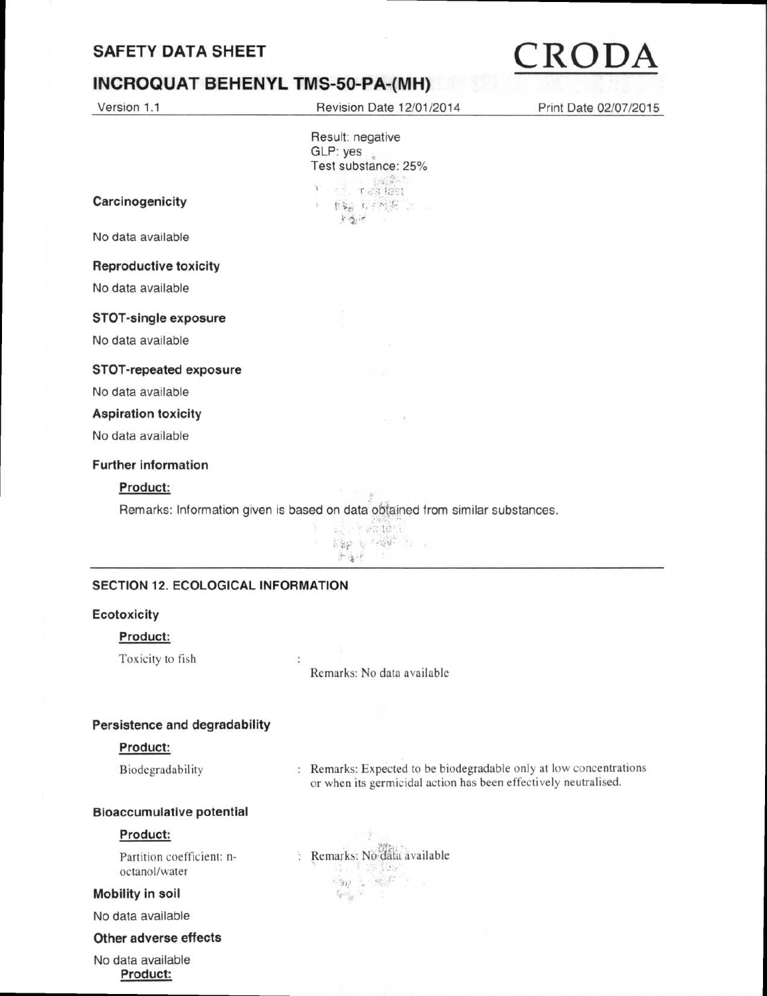### **SAFETY DATA SHEET**

### **INCROQUAT BEHENYL TMS-50-PA-(MH)**

Version 1.1 Revision Date 12/01/2014 Print Date 02/07/2015

Result: negative GLP: yes Test substance: 25%  $\mathbf{r} = \frac{1}{2} \mathbf{r}$  as then ( 概要 标题书 )  $x \sim e$ 

**Carcinogenicity** 

No data available

#### **Reproductive toxicity**

No data available

### **STOT-single exposure**

No data available

#### **STOT-repeated exposure**

No data available

### **Aspiration toxicity**

No data available

### **Further information**

### **Product:**

Remarks: Information given is based on data obtained from similar substances.

 $\bar{\sigma}$ 



### **SECTION 12. ECOLOGICAL INFORMATION**

### **Ecotoxicity**

### **Product:**

Toxicity to fish

Remarks: No data available

#### **Persistence and degradability**

### **Product:**

Biodegradability : Remarks: Expected to be biodegradable only at low concentrations or when its germicidal action has been effectively neutralised.

#### **Bioaccumulative potential**

### **Product:**

octanol/water

#### **Mobility in soil**

No data available

**Other adverse effects** 

No data available **Product:** 

Partition coefficient: n-<br>
: Remarks: No data available<br>
octanol/water  $\langle \hat{g}_R \rangle = \langle \hat{g}_R^{\dagger} \hat{G} \rangle \; \; .$  $\label{eq:q0} \overline{\mathbb{Q}}\partial_{\underline{\mathbb{Q}}} \mathbb{Q} \cdot \mathbb{R}^2 \qquad \geq \qquad$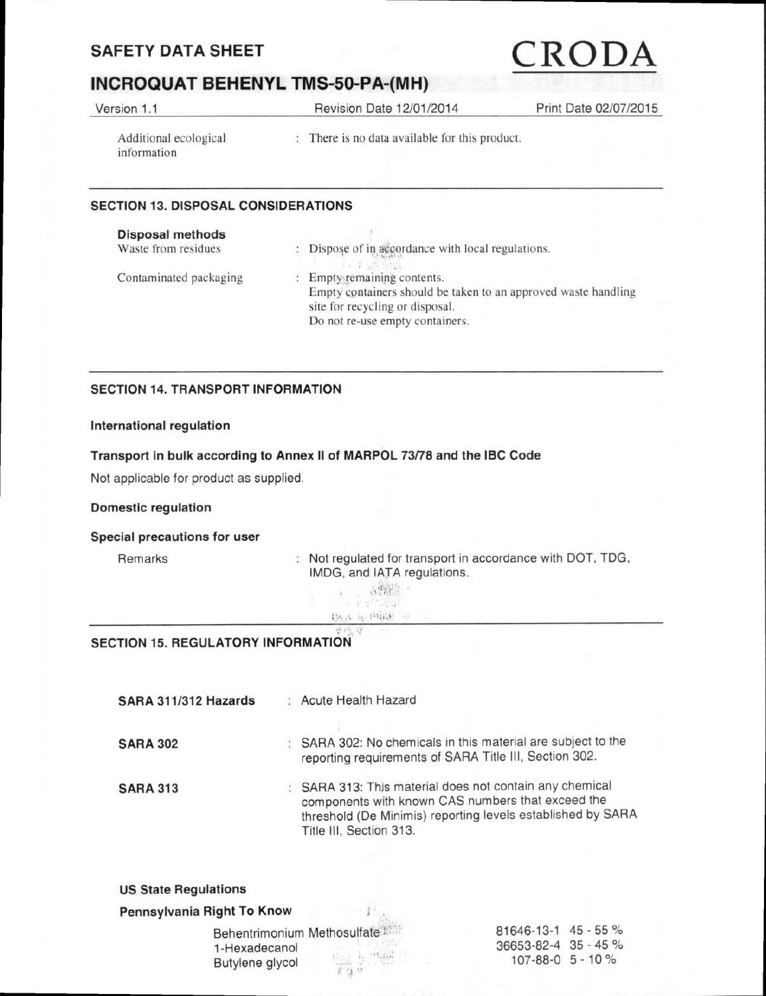### **SAFETY DATA SHEET**

### **INCROQUAT BEHENYL TMS-50-PA-(MH)**

Version 1.1 Revision Date 12/01/2014 Print Date 02/07/2015

information

Additional ecological : There is no data available for this product.

### **SECTION 13. DISPOSAL CONSIDERATIONS**

| <b>Disposal methods</b> |                                                                                                                                                                   |
|-------------------------|-------------------------------------------------------------------------------------------------------------------------------------------------------------------|
| Waste from residues     | Dispose of in accordance with local regulations.<br>THE REPORT OF STREET                                                                                          |
| Contaminated packaging  | Empty-remaining contents.<br>Empty containers should be taken to an approved waste handling<br>site for recycling or disposal.<br>Do not re-use empty containers. |

### **SECTION 14. TRANSPORT INFORMATION**

### **International regulation**

### **Transport in bulk according to Annex II of MARPOL 73/78 and the IBC Code**

Not applicable for product as supplied.

### **Domestic regulation**

#### **Special precautions for user**

Remarks : Not regulated for transport in accordance with DOT, TDG, IMDG, and IATA regulations.

| 12-835-55     |  |  |
|---------------|--|--|
|               |  |  |
| there is mine |  |  |

#### $\mathcal{G}$ **SECTION 15. REGULATORY INFORMATION**

| SARA 311/312 Hazards | : Acute Health Hazard                                                                                                                                                                                  |
|----------------------|--------------------------------------------------------------------------------------------------------------------------------------------------------------------------------------------------------|
| <b>SARA 302</b>      | : SARA 302: No chemicals in this material are subject to the<br>reporting requirements of SARA Title III, Section 302.                                                                                 |
| <b>SARA 313</b>      | : SARA 313: This material does not contain any chemical<br>components with known CAS numbers that exceed the<br>threshold (De Minimis) reporting levels established by SARA<br>Title III, Section 313. |

### **US State Regulations**

**Pennsylvania Right To Know** 

| Behentrimonium Methosulfate |           | $81646 - 13 - 1$ 45 - 55 % |  |
|-----------------------------|-----------|----------------------------|--|
| 1-Hexadecanol               | (6) 程序成果。 | 36653-82-4 35 - 45 %       |  |
| Butylene glycol             | 変な 2000   | 107-88-0 5 - 10 %          |  |

 $^{-1}$   $\alpha$